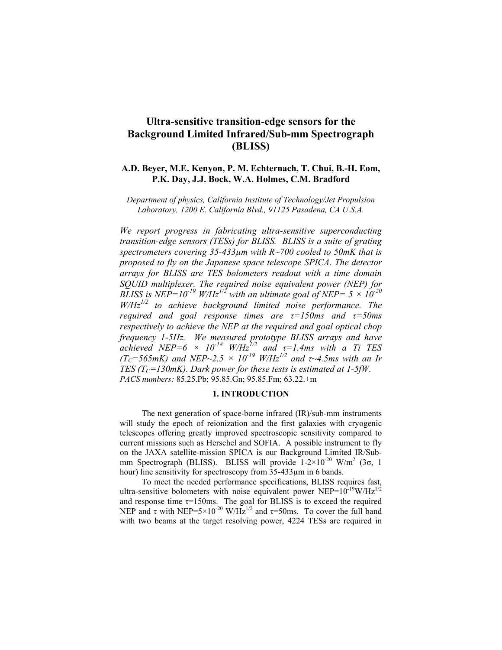# **Ultra-sensitive transition-edge sensors for the Background Limited Infrared/Sub-mm Spectrograph (BLISS)**

# **A.D. Beyer, M.E. Kenyon, P. M. Echternach, T. Chui, B.-H. Eom, P.K. Day, J.J. Bock, W.A. Holmes, C.M. Bradford**

*Department of physics, California Institute of Technology/Jet Propulsion Laboratory, 1200 E. California Blvd., 91125 Pasadena, CA U.S.A.* 

*We report progress in fabricating ultra-sensitive superconducting transition-edge sensors (TESs) for BLISS. BLISS is a suite of grating spectrometers covering 35-433µm with R~700 cooled to 50mK that is proposed to fly on the Japanese space telescope SPICA. The detector arrays for BLISS are TES bolometers readout with a time domain SQUID multiplexer. The required noise equivalent power (NEP) for BLISS is NEP=10<sup>-19</sup> W/Hz<sup>1/2</sup> with an ultimate goal of NEP= 5*  $\times 10^{-20}$ *W/Hz1/2 to achieve background limited noise performance. The required and goal response times are τ=150ms and τ=50ms respectively to achieve the NEP at the required and goal optical chop frequency 1-5Hz. We measured prototype BLISS arrays and have achieved NEP=6*  $\times$  *10<sup>-18</sup> W/Hz*<sup>1/2</sup> and  $\tau$ =1.4ms with a Ti TES  $(T_{C} = 565$ *mK)* and NEP $\sim$ 2.5  $\times$  10<sup>-19</sup> *W*/Hz<sup>1/2</sup> and  $\tau$  $\sim$ 4.5*ms with an Ir TES (T<sub>C</sub>=130mK). Dark power for these tests is estimated at 1-5fW. PACS numbers:* 85.25.Pb; 95.85.Gn; 95.85.Fm; 63.22.+m

#### **1. INTRODUCTION**

The next generation of space-borne infrared (IR)/sub-mm instruments will study the epoch of reionization and the first galaxies with cryogenic telescopes offering greatly improved spectroscopic sensitivity compared to current missions such as Herschel and SOFIA. A possible instrument to fly on the JAXA satellite-mission SPICA is our Background Limited IR/Submm Spectrograph (BLISS). BLISS will provide  $1-2\times10^{-20}$  W/m<sup>2</sup> (3 $\sigma$ , 1) hour) line sensitivity for spectroscopy from 35-433µm in 6 bands.

To meet the needed performance specifications, BLISS requires fast, ultra-sensitive bolometers with noise equivalent power NEP= $10^{-19}$ W/Hz<sup>1/2</sup> and response time  $\tau$ =150ms. The goal for BLISS is to exceed the required NEP and τ with NEP=5×10<sup>-20</sup> W/Hz<sup>1/2</sup> and τ=50ms. To cover the full band with two beams at the target resolving power, 4224 TESs are required in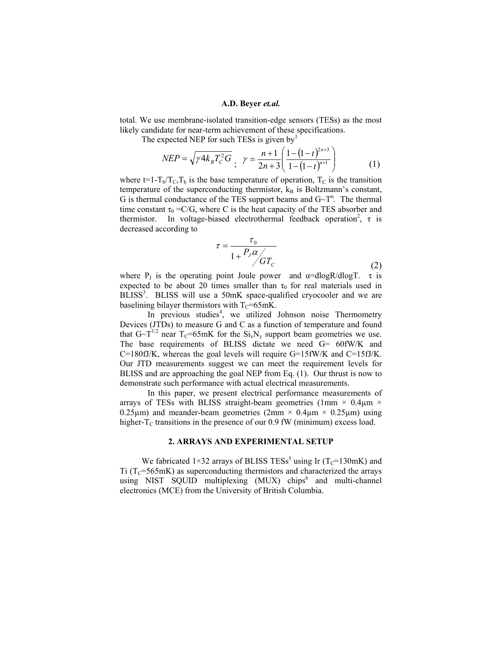#### **A.D. Beyer** *et.al.*

total. We use membrane-isolated transition-edge sensors (TESs) as the most likely candidate for near-term achievement of these specifications.

The expected NEP for such TESs is given by<sup>1</sup>

$$
NEP = \sqrt{\gamma 4k_B T_C^2 G} \ , \ \ \gamma = \frac{n+1}{2n+3} \left( \frac{1 - (1-t)^{2n+3}}{1 - (1-t)^{n+1}} \right) \tag{1}
$$

where  $t=1-T_b/T_c,T_b$  is the base temperature of operation,  $T_c$  is the transition temperature of the superconducting thermistor,  $k_B$  is Boltzmann's constant, G is thermal conductance of the TES support beams and  $G - T^n$ . The thermal time constant  $\tau_0 = C/G$ , where C is the heat capacity of the TES absorber and thermistor. In voltage-biased electrothermal feedback operation<sup>2</sup>,  $\tau$  is decreased according to

$$
\tau = \frac{\tau_0}{1 + \frac{P_J \alpha}{GT_C}}\tag{2}
$$

where P<sub>J</sub> is the operating point Joule power and  $\alpha$ =dlogR/dlogT.  $\tau$  is expected to be about 20 times smaller than  $\tau_0$  for real materials used in BLISS<sup>3</sup>. BLISS will use a 50mK space-qualified cryocooler and we are baselining bilayer thermistors with  $T_c=65mK$ .

In previous studies<sup>4</sup>, we utilized Johnson noise Thermometry Devices (JTDs) to measure G and C as a function of temperature and found that  $G \sim T^{1/2}$  near  $T_c = 65$ mK for the  $Si_xN_y$  support beam geometries we use. The base requirements of BLISS dictate we need G= 60fW/K and C=180fJ/K, whereas the goal levels will require G=15fW/K and C=15fJ/K. Our JTD measurements suggest we can meet the requirement levels for BLISS and are approaching the goal NEP from Eq. (1). Our thrust is now to demonstrate such performance with actual electrical measurements.

 In this paper, we present electrical performance measurements of arrays of TESs with BLISS straight-beam geometries (1mm  $\times$  0.4 $\mu$ m  $\times$ 0.25 $\mu$ m) and meander-beam geometries (2mm × 0.4 $\mu$ m × 0.25 $\mu$ m) using higher- $T_c$  transitions in the presence of our 0.9 fW (minimum) excess load.

#### **2. ARRAYS AND EXPERIMENTAL SETUP**

We fabricated  $1\times32$  arrays of BLISS TESs<sup>5</sup> using Ir (T<sub>C</sub>=130mK) and  $Ti (T<sub>C</sub>=565mK)$  as superconducting thermistors and characterized the arrays using NIST SQUID multiplexing (MUX) chips<sup>6</sup> and multi-channel electronics (MCE) from the University of British Columbia.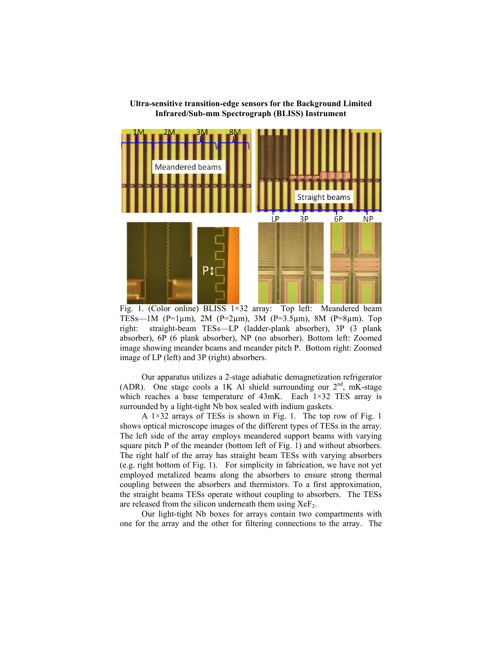



Fig. 1. (Color online) BLISS 1×32 array: Top left: Meandered beam TESs—1M (P=1 $\mu$ m), 2M (P=2 $\mu$ m), 3M (P=3.5 $\mu$ m), 8M (P=8 $\mu$ m). Top right: straight-beam TESs—LP (ladder-plank absorber), 3P (3 plank absorber), 6P (6 plank absorber), NP (no absorber). Bottom left: Zoomed image showing meander beams and meander pitch P. Bottom right: Zoomed image of LP (left) and 3P (right) absorbers.

Our apparatus utilizes a 2-stage adiabatic demagnetization refrigerator (ADR). One stage cools a 1K Al shield surrounding our  $2<sup>nd</sup>$ , mK-stage which reaches a base temperature of 43mK. Each 1×32 TES array is surrounded by a light-tight Nb box sealed with indium gaskets.

A 1×32 arrays of TESs is shown in Fig. 1. The top row of Fig. 1 shows optical microscope images of the different types of TESs in the array. The left side of the array employs meandered support beams with varying square pitch P of the meander (bottom left of Fig. 1) and without absorbers. The right half of the array has straight beam TESs with varying absorbers (e.g. right bottom of Fig. 1). For simplicity in fabrication, we have not yet employed metalized beams along the absorbers to ensure strong thermal coupling between the absorbers and thermistors. To a first approximation, the straight beams TESs operate without coupling to absorbers. The TESs are released from the silicon underneath them using  $XeF_2$ .

Our light-tight Nb boxes for arrays contain two compartments with one for the array and the other for filtering connections to the array. The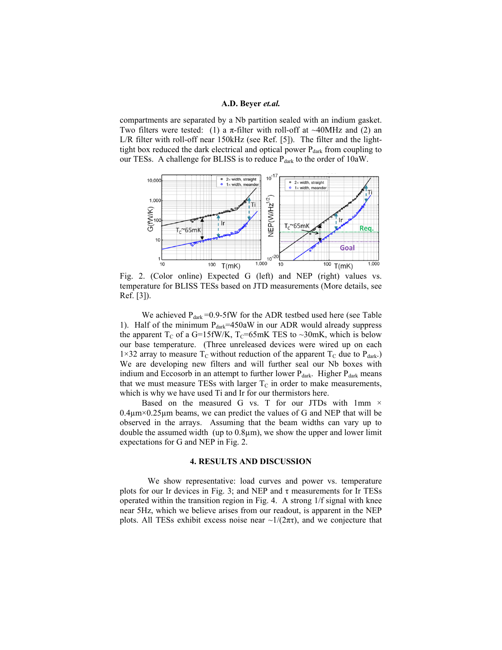### **A.D. Beyer** *et.al.*

compartments are separated by a Nb partition sealed with an indium gasket. Two filters were tested: (1) a  $\pi$ -filter with roll-off at ~40MHz and (2) an L/R filter with roll-off near 150kHz (see Ref. [5]). The filter and the lighttight box reduced the dark electrical and optical power  $P_{dark}$  from coupling to our TESs. A challenge for BLISS is to reduce  $P_{dark}$  to the order of 10aW.



Fig. 2. (Color online) Expected G (left) and NEP (right) values vs. temperature for BLISS TESs based on JTD measurements (More details, see Ref. [3]).

We achieved  $P_{dark} = 0.9-5$ fW for the ADR testbed used here (see Table 1). Half of the minimum  $P_{dark} = 450aW$  in our ADR would already suppress the apparent  $T_c$  of a G=15fW/K,  $T_c$ =65mK TES to ~30mK, which is below our base temperature. (Three unreleased devices were wired up on each 1×32 array to measure  $T_c$  without reduction of the apparent  $T_c$  due to  $P_{dark}$ . We are developing new filters and will further seal our Nb boxes with indium and Eccosorb in an attempt to further lower  $P_{dark}$ . Higher  $P_{dark}$  means that we must measure TESs with larger  $T_c$  in order to make measurements, which is why we have used Ti and Ir for our thermistors here.

Based on the measured G vs. T for our JTDs with  $1mm \times$  $0.4\mu$ m×0.25 $\mu$ m beams, we can predict the values of G and NEP that will be observed in the arrays. Assuming that the beam widths can vary up to double the assumed width (up to 0.8µm), we show the upper and lower limit expectations for G and NEP in Fig. 2.

## **4. RESULTS AND DISCUSSION**

We show representative: load curves and power vs. temperature plots for our Ir devices in Fig. 3; and NEP and  $\tau$  measurements for Ir TESs operated within the transition region in Fig. 4. A strong 1/f signal with knee near 5Hz, which we believe arises from our readout, is apparent in the NEP plots. All TESs exhibit excess noise near  $\sim 1/(2\pi\tau)$ , and we conjecture that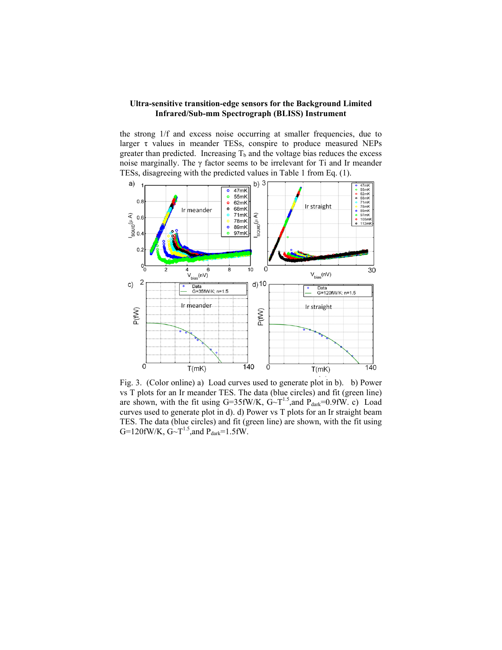## **Ultra-sensitive transition-edge sensors for the Background Limited Infrared/Sub-mm Spectrograph (BLISS) Instrument**

the strong 1/f and excess noise occurring at smaller frequencies, due to larger  $\tau$  values in meander TESs, conspire to produce measured NEPs greater than predicted. Increasing  $T_b$  and the voltage bias reduces the excess noise marginally. The  $\gamma$  factor seems to be irrelevant for Ti and Ir meander TESs, disagreeing with the predicted values in Table 1 from Eq. (1).



Fig. 3. (Color online) a) Load curves used to generate plot in b). b) Power vs T plots for an Ir meander TES. The data (blue circles) and fit (green line) are shown, with the fit using G=35fW/K,  $G \sim T^{1.5}$ , and  $P_{dark} = 0.9$ fW. c) Load curves used to generate plot in d). d) Power vs T plots for an Ir straight beam TES. The data (blue circles) and fit (green line) are shown, with the fit using G=120fW/K,  $G \sim T^{1.5}$ , and  $P_{dark} = 1.5$  fW.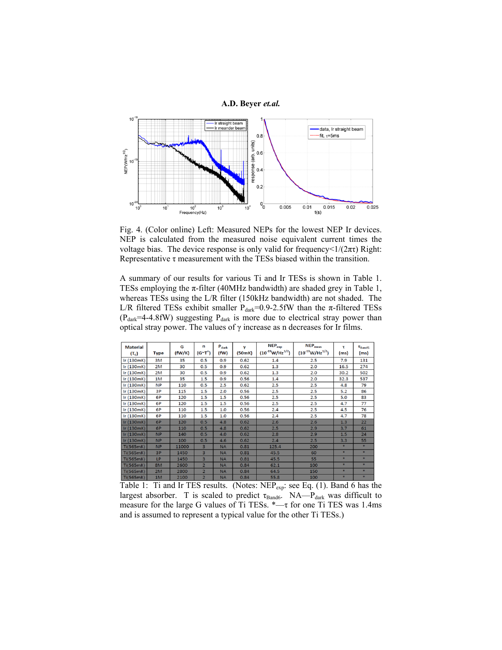

Fig. 4. (Color online) Left: Measured NEPs for the lowest NEP Ir devices. NEP is calculated from the measured noise equivalent current times the voltage bias. The device response is only valid for frequency  $\langle 1/(2\pi\tau)$  Right: Representative  $\tau$  measurement with the TESs biased within the transition.

A summary of our results for various Ti and Ir TESs is shown in Table 1. TESs employing the  $\pi$ -filter (40MHz bandwidth) are shaded grey in Table 1, whereas TESs using the L/R filter (150kHz bandwidth) are not shaded. The L/R filtered TESs exhibit smaller  $P_{dark}=0.9-2.5$ fW than the  $\pi$ -filtered TESs  $(P<sub>dark</sub>=4-4.8fW)$  suggesting  $P<sub>dark</sub>$  is more due to electrical stray power than optical stray power. The values of  $\gamma$  increase as n decreases for Ir films.

| <b>Material</b><br>$(T_c)$ | <b>Type</b> | G<br>(fW/K) | n<br>$(G^{\sim}T^n)$    | $P_{dark}$<br>(fW) | ν<br>(50mK) | $NEP_{exp}$<br>$(10^{-19} W/Hz^{1/2})$ | $NEP_{meas}$<br>$(10^{-19} W/Hz^{1/2})$ | τ<br>(ms) | $\tau_{\text{BandS}}$<br>(ms) |
|----------------------------|-------------|-------------|-------------------------|--------------------|-------------|----------------------------------------|-----------------------------------------|-----------|-------------------------------|
| Ir (130mK)                 | 3M          | 35          | 0.5                     | 0.9                | 0.62        | 1.4                                    | 2.5                                     | 7.9       | 131                           |
| Ir (130mK)                 | 2M          | 30          | 0.5                     | 0.9                | 0.62        | 1.3                                    | 2.0                                     | 16.5      | 274                           |
| lr(130mK)                  | 2M          | 30          | 0.5                     | 0.9                | 0.62        | 1.3                                    | 2.0                                     | 30.2      | 502                           |
| lr(130mK)                  | 1M          | 35          | 1.5                     | 0.9                | 0.56        | 1.4                                    | 2.0                                     | 32.3      | 537                           |
| lr(130mK)                  | <b>NP</b>   | 110         | 0.5                     | 2.5                | 0.62        | 2.5                                    | 2.5                                     | 4.8       | 79                            |
| lr(130mK)                  | 3P          | 115         | 1.5                     | 2.0                | 0.56        | 2.5                                    | 2.5                                     | 5.2       | 86                            |
| lr(130mK)                  | 6P          | 120         | 1.5                     | 1.5                | 0.56        | 2.5                                    | 2.5                                     | 5.0       | 83                            |
| Ir (130mK)                 | 6P          | 120         | 1.5                     | 1.5                | 0.56        | 2.5                                    | 2.5                                     | 4.7       | 77                            |
| lr(130mK)                  | 6P          | 110         | 1.5                     | 1.0                | 0.56        | 2.4                                    | 2.5                                     | 4.5       | 76                            |
| lr(130mK)                  | 6P          | 110         | 1.5                     | 1.0                | 0.56        | 2.4                                    | 2.5                                     | 4.7       | 78                            |
| lr(130mK)                  | 6P          | 120         | 0.5                     | 4.8                | 0.62        | 2.6                                    | 2.6                                     | 1.3       | 22                            |
| lr(130mK)                  | 6P          | 110         | 0.5                     | 4.8                | 0.62        | 2.5                                    | 2.9                                     | 3.7       | 61                            |
| lr(130mK)                  | <b>NP</b>   | 140         | 0.5                     | 4.0                | 0.62        | 2.8                                    | 2.9                                     | 1.5       | 24                            |
| lr(130mK)                  | <b>NP</b>   | 100         | 0.5                     | 4.6                | 0.62        | 2.4                                    | 2.5                                     | 3.3       | 55                            |
| Ti(565mK)                  | <b>NP</b>   | 11000       | $\overline{3}$          | <b>NA</b>          | 0.81        | 125.4                                  | 200                                     | ×         | 車                             |
| Ti(565mK)                  | 3P          | 1450        | 3                       | <b>NA</b>          | 0.81        | 45.5                                   | 60                                      | ٠         | $\frac{1}{2}$                 |
| Ti(565mK)                  | LP          | 1450        | 3                       | <b>NA</b>          | 0.81        | 45.5                                   | 55                                      | $\ast$    | 車                             |
| Ti(565mK)                  | 8M          | 2600        | $\overline{2}$          | <b>NA</b>          | 0.84        | 62.1                                   | 100                                     | ×         | *                             |
| Ti(565mK)                  | 2M          | 2800        | $\overline{2}$          | <b>NA</b>          | 0.84        | 64.5                                   | 150                                     | $\ast$    | $*$                           |
| Ti(565mK)                  | 1M          | 2100        | $\overline{\mathbf{z}}$ | <b>NA</b>          | 0.84        | 55.8                                   | 100                                     | 車         | *                             |

Table 1: Ti and Ir TES results. (Notes: NEPexp: see Eq. (1). Band 6 has the largest absorber. T is scaled to predict  $\tau_{\text{Band6}}$ . NA— $P_{\text{dark}}$  was difficult to measure for the large G values of Ti TESs. \*—τ for one Ti TES was 1.4ms and is assumed to represent a typical value for the other Ti TESs.)